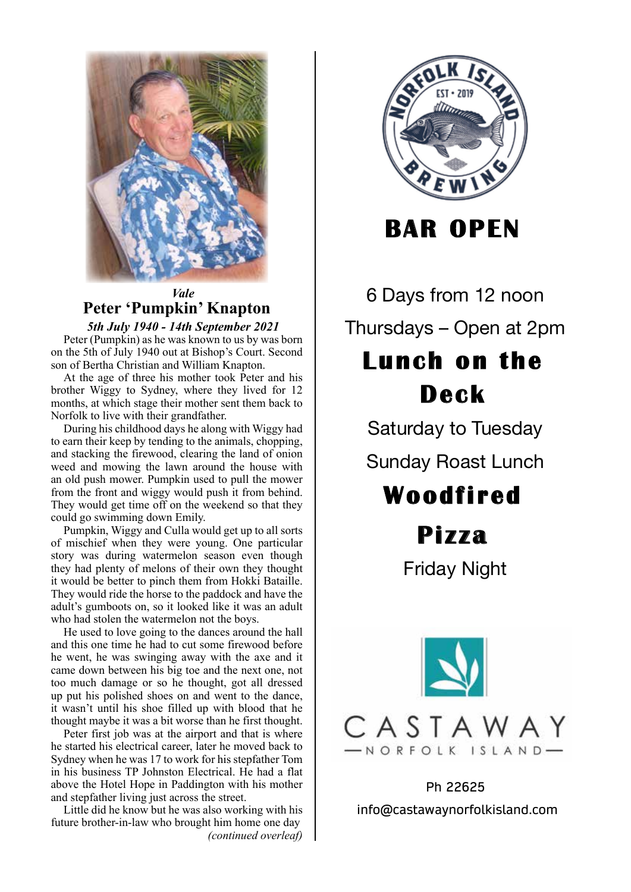

## *Vale* **Peter 'Pumpkin' Knapton**

*5th July 1940 - 14th September 2021* Peter (Pumpkin) as he was known to us by was born on the 5th of July 1940 out at Bishop's Court. Second son of Bertha Christian and William Knapton.

At the age of three his mother took Peter and his brother Wiggy to Sydney, where they lived for 12 months, at which stage their mother sent them back to Norfolk to live with their grandfather.

During his childhood days he along with Wiggy had to earn their keep by tending to the animals, chopping, and stacking the firewood, clearing the land of onion weed and mowing the lawn around the house with an old push mower. Pumpkin used to pull the mower from the front and wiggy would push it from behind. They would get time off on the weekend so that they could go swimming down Emily.

Pumpkin, Wiggy and Culla would get up to all sorts of mischief when they were young. One particular story was during watermelon season even though they had plenty of melons of their own they thought it would be better to pinch them from Hokki Bataille. They would ride the horse to the paddock and have the adult's gumboots on, so it looked like it was an adult who had stolen the watermelon not the boys.

He used to love going to the dances around the hall and this one time he had to cut some firewood before he went, he was swinging away with the axe and it came down between his big toe and the next one, not too much damage or so he thought, got all dressed up put his polished shoes on and went to the dance, it wasn't until his shoe filled up with blood that he thought maybe it was a bit worse than he first thought.

Peter first job was at the airport and that is where he started his electrical career, later he moved back to Sydney when he was 17 to work for his stepfather Tom in his business TP Johnston Electrical. He had a flat above the Hotel Hope in Paddington with his mother and stepfather living just across the street.

Little did he know but he was also working with his future brother-in-law who brought him home one day *(continued overleaf)*



**BAR OPEN**

6 Days from 12 noon 6 Days from 12 noon Thursdays – Open at 2pm **Lunch on the**

# **Deck**

Saturday to Tuesday Saturday to Tuesday

Sunday Roast Lunch Sunday Roast Lunch

# **Woodfi red**

**Pi z za**

Friday Night Friday Night



Ph 22625 info@castawaynorfolkisland.com